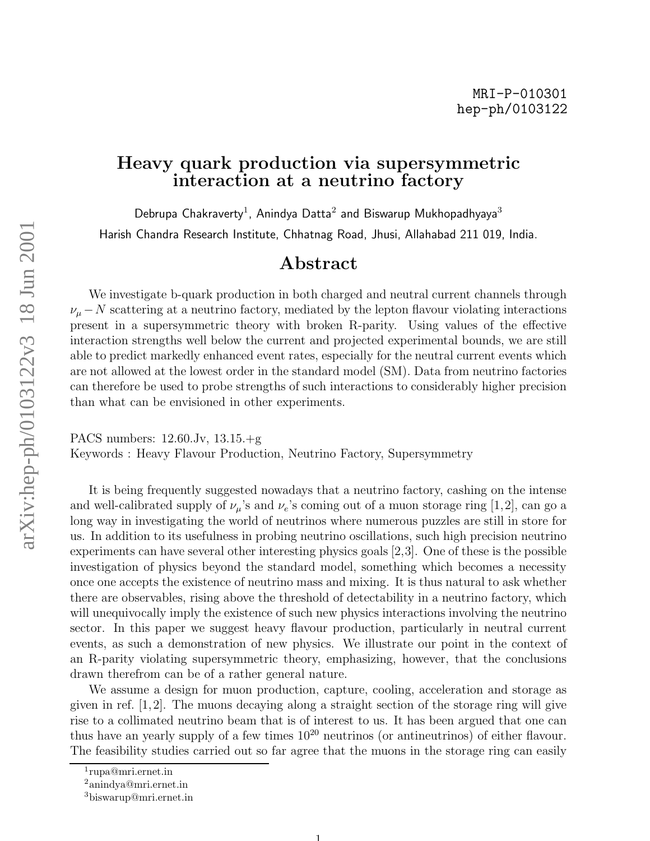## Heavy quark production via supersymmetric interaction at a neutrino factory

Debrupa Chakraverty<sup>1</sup>, Anindya Datta<sup>2</sup> and Biswarup Mukhopadhyaya<sup>3</sup> Harish Chandra Research Institute, Chhatnag Road, Jhusi, Allahabad 211 019, India.

## Abstract

We investigate b-quark production in both charged and neutral current channels through  $\nu_{\mu}$  – N scattering at a neutrino factory, mediated by the lepton flavour violating interactions present in a supersymmetric theory with broken R-parity. Using values of the effective interaction strengths well below the current and projected experimental bounds, we are still able to predict markedly enhanced event rates, especially for the neutral current events which are not allowed at the lowest order in the standard model (SM). Data from neutrino factories can therefore be used to probe strengths of such interactions to considerably higher precision than what can be envisioned in other experiments.

PACS numbers: 12.60.Jv, 13.15.+g Keywords : Heavy Flavour Production, Neutrino Factory, Supersymmetry

It is being frequently suggested nowadays that a neutrino factory, cashing on the intense and well-calibrated supply of  $\nu_{\mu}$ 's and  $\nu_e$ 's coming out of a muon storage ring [1,2], can go a long way in investigating the world of neutrinos where numerous puzzles are still in store for us. In addition to its usefulness in probing neutrino oscillations, such high precision neutrino experiments can have several other interesting physics goals [2,3]. One of these is the possible investigation of physics beyond the standard model, something which becomes a necessity once one accepts the existence of neutrino mass and mixing. It is thus natural to ask whether there are observables, rising above the threshold of detectability in a neutrino factory, which will unequivocally imply the existence of such new physics interactions involving the neutrino sector. In this paper we suggest heavy flavour production, particularly in neutral current events, as such a demonstration of new physics. We illustrate our point in the context of an R-parity violating supersymmetric theory, emphasizing, however, that the conclusions drawn therefrom can be of a rather general nature.

We assume a design for muon production, capture, cooling, acceleration and storage as given in ref. [1,2]. The muons decaying along a straight section of the storage ring will give rise to a collimated neutrino beam that is of interest to us. It has been argued that one can thus have an yearly supply of a few times  $10^{20}$  neutrinos (or antineutrinos) of either flavour. The feasibility studies carried out so far agree that the muons in the storage ring can easily

<sup>1</sup> rupa@mri.ernet.in

<sup>2</sup>anindya@mri.ernet.in <sup>3</sup>biswarup@mri.ernet.in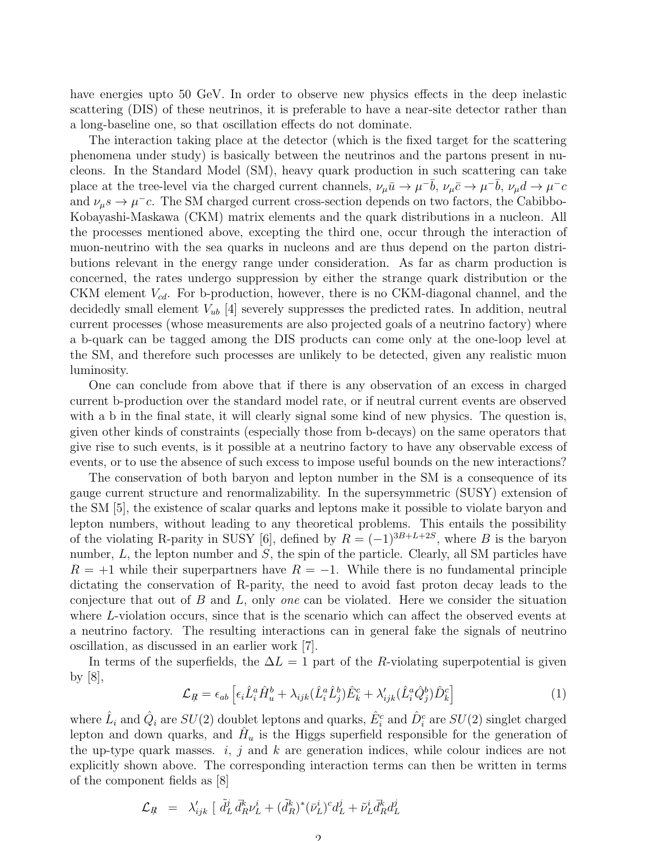have energies upto 50 GeV. In order to observe new physics effects in the deep inelastic scattering (DIS) of these neutrinos, it is preferable to have a near-site detector rather than a long-baseline one, so that oscillation effects do not dominate.

The interaction taking place at the detector (which is the fixed target for the scattering phenomena under study) is basically between the neutrinos and the partons present in nucleons. In the Standard Model (SM), heavy quark production in such scattering can take place at the tree-level via the charged current channels,  $\nu_\mu \bar{u} \to \mu^- \bar{b}$ ,  $\nu_\mu \bar{c} \to \mu^- \bar{b}$ ,  $\nu_\mu d \to \mu^- c$ and  $\nu_{\mu}s \to \mu^- c$ . The SM charged current cross-section depends on two factors, the Cabibbo-Kobayashi-Maskawa (CKM) matrix elements and the quark distributions in a nucleon. All the processes mentioned above, excepting the third one, occur through the interaction of muon-neutrino with the sea quarks in nucleons and are thus depend on the parton distributions relevant in the energy range under consideration. As far as charm production is concerned, the rates undergo suppression by either the strange quark distribution or the CKM element  $V_{cd}$ . For b-production, however, there is no CKM-diagonal channel, and the decidedly small element  $V_{ub}$  [4] severely suppresses the predicted rates. In addition, neutral current processes (whose measurements are also projected goals of a neutrino factory) where a b-quark can be tagged among the DIS products can come only at the one-loop level at the SM, and therefore such processes are unlikely to be detected, given any realistic muon luminosity.

One can conclude from above that if there is any observation of an excess in charged current b-production over the standard model rate, or if neutral current events are observed with a b in the final state, it will clearly signal some kind of new physics. The question is, given other kinds of constraints (especially those from b-decays) on the same operators that give rise to such events, is it possible at a neutrino factory to have any observable excess of events, or to use the absence of such excess to impose useful bounds on the new interactions?

The conservation of both baryon and lepton number in the SM is a consequence of its gauge current structure and renormalizability. In the supersymmetric (SUSY) extension of the SM [5], the existence of scalar quarks and leptons make it possible to violate baryon and lepton numbers, without leading to any theoretical problems. This entails the possibility of the violating R-parity in SUSY [6], defined by  $R = (-1)^{3B+L+2S}$ , where B is the baryon number,  $L$ , the lepton number and  $S$ , the spin of the particle. Clearly, all SM particles have  $R = +1$  while their superpartners have  $R = -1$ . While there is no fundamental principle dictating the conservation of R-parity, the need to avoid fast proton decay leads to the conjecture that out of B and L, only *one* can be violated. Here we consider the situation where L-violation occurs, since that is the scenario which can affect the observed events at a neutrino factory. The resulting interactions can in general fake the signals of neutrino oscillation, as discussed in an earlier work [7].

In terms of the superfields, the  $\Delta L = 1$  part of the R-violating superpotential is given by [8],

$$
\mathcal{L}_{R} = \epsilon_{ab} \left[ \epsilon_i \hat{L}_i^a \hat{H}_u^b + \lambda_{ijk} (\hat{L}_i^a \hat{L}_j^b) \hat{E}_k^c + \lambda'_{ijk} (\hat{L}_i^a \hat{Q}_j^b) \hat{D}_k^c \right]
$$
(1)

where  $\hat{L}_i$  and  $\hat{Q}_i$  are  $SU(2)$  doublet leptons and quarks,  $\hat{E}^c_i$  and  $\hat{D}^c_i$  are  $SU(2)$  singlet charged lepton and down quarks, and  $\hat{H}_u$  is the Higgs superfield responsible for the generation of the up-type quark masses.  $i, j$  and  $k$  are generation indices, while colour indices are not explicitly shown above. The corresponding interaction terms can then be written in terms of the component fields as [8]

$$
\mathcal{L}_{R} \;\; = \;\; \lambda'_{ijk} \; [\; \tilde{d}^{j}_{L} \, \bar{d}^{k}_{R} \nu^{i}_{L} + (\tilde{d}^{k}_{R})^{*} (\bar{\nu}^{i}_{L})^{c} d^{j}_{L} + \tilde{\nu}^{i}_{L} \bar{d}^{k}_{R} d^{j}_{L}
$$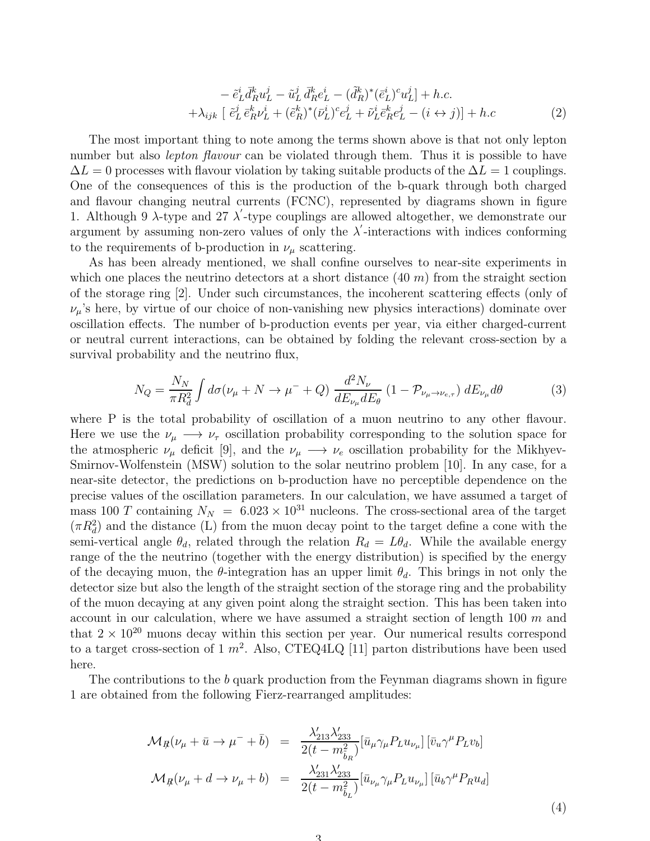$$
- \tilde{e}_L^i \bar{d}_R^k u_L^j - \tilde{u}_L^j \bar{d}_R^k e_L^i - (\tilde{d}_R^k)^* (\bar{e}_L^i)^c u_L^j] + h.c.
$$
  
+ 
$$
\lambda_{ijk} \left[ \tilde{e}_L^j \bar{e}_R^k \nu_L^i + (\tilde{e}_R^k)^* (\bar{\nu}_L^i)^c e_L^j + \tilde{\nu}_L^i \bar{e}_R^k e_L^j - (i \leftrightarrow j) \right] + h.c
$$
 (2)

The most important thing to note among the terms shown above is that not only lepton number but also *lepton flavour* can be violated through them. Thus it is possible to have  $\Delta L = 0$  processes with flavour violation by taking suitable products of the  $\Delta L = 1$  couplings. One of the consequences of this is the production of the b-quark through both charged and flavour changing neutral currents (FCNC), represented by diagrams shown in figure 1. Although 9  $\lambda$ -type and 27  $\lambda'$ -type couplings are allowed altogether, we demonstrate our argument by assuming non-zero values of only the  $\lambda'$ -interactions with indices conforming to the requirements of b-production in  $\nu_{\mu}$  scattering.

As has been already mentioned, we shall confine ourselves to near-site experiments in which one places the neutrino detectors at a short distance  $(40 \, m)$  from the straight section of the storage ring [2]. Under such circumstances, the incoherent scattering effects (only of  $\nu_{\mu}$ 's here, by virtue of our choice of non-vanishing new physics interactions) dominate over oscillation effects. The number of b-production events per year, via either charged-current or neutral current interactions, can be obtained by folding the relevant cross-section by a survival probability and the neutrino flux,

$$
N_Q = \frac{N_N}{\pi R_d^2} \int d\sigma (\nu_\mu + N \to \mu^- + Q) \frac{d^2 N_\nu}{dE_{\nu_\mu} dE_\theta} (1 - \mathcal{P}_{\nu_\mu \to \nu_{e,\tau}}) dE_{\nu_\mu} d\theta \tag{3}
$$

where P is the total probability of oscillation of a muon neutrino to any other flavour. Here we use the  $\nu_{\mu} \longrightarrow \nu_{\tau}$  oscillation probability corresponding to the solution space for the atmospheric  $\nu_{\mu}$  deficit [9], and the  $\nu_{\mu} \longrightarrow \nu_{e}$  oscillation probability for the Mikhyev-Smirnov-Wolfenstein (MSW) solution to the solar neutrino problem [10]. In any case, for a near-site detector, the predictions on b-production have no perceptible dependence on the precise values of the oscillation parameters. In our calculation, we have assumed a target of mass 100 T containing  $N_N = 6.023 \times 10^{31}$  nucleons. The cross-sectional area of the target  $(\pi R_d^2)$  and the distance (L) from the muon decay point to the target define a cone with the semi-vertical angle  $\theta_d$ , related through the relation  $R_d = L\theta_d$ . While the available energy range of the the neutrino (together with the energy distribution) is specified by the energy of the decaying muon, the  $\theta$ -integration has an upper limit  $\theta_d$ . This brings in not only the detector size but also the length of the straight section of the storage ring and the probability of the muon decaying at any given point along the straight section. This has been taken into account in our calculation, where we have assumed a straight section of length  $100$  m and that  $2 \times 10^{20}$  muons decay within this section per year. Our numerical results correspond to a target cross-section of 1  $m^2$ . Also, CTEQ4LQ [11] parton distributions have been used here.

The contributions to the b quark production from the Feynman diagrams shown in figure 1 are obtained from the following Fierz-rearranged amplitudes:

$$
\mathcal{M}_{R}(\nu_{\mu} + \bar{u} \to \mu^{-} + \bar{b}) = \frac{\lambda'_{213} \lambda'_{233}}{2(t - m_{\tilde{b}_{R}}^{2})} [\bar{u}_{\mu} \gamma_{\mu} P_{L} u_{\nu_{\mu}}] [\bar{v}_{u} \gamma^{\mu} P_{L} v_{b}]
$$
  

$$
\mathcal{M}_{R}(\nu_{\mu} + d \to \nu_{\mu} + b) = \frac{\lambda'_{231} \lambda'_{233}}{2(t - m_{\tilde{b}_{L}}^{2})} [\bar{u}_{\nu_{\mu}} \gamma_{\mu} P_{L} u_{\nu_{\mu}}] [\bar{u}_{b} \gamma^{\mu} P_{R} u_{d}]
$$
(4)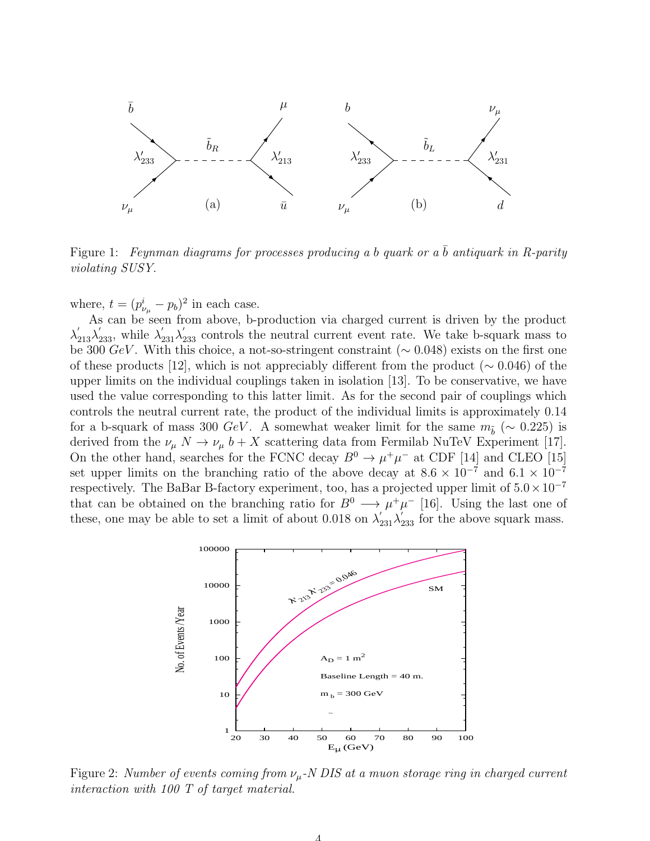

Figure 1: *Feynman diagrams for processes producing a b quark or a*  $\bar{b}$  *antiquark in R-parity violating SUSY.*

where,  $t = (p_{\nu_\mu}^i - p_b)^2$  in each case.

As can be seen from above, b-production via charged current is driven by the product  $\lambda'_{213}\lambda'_{233}$ , while  $\lambda'_{231}\lambda'_{233}$  controls the neutral current event rate. We take b-squark mass to be 300  $GeV$ . With this choice, a not-so-stringent constraint ( $\sim$  0.048) exists on the first one of these products [12], which is not appreciably different from the product ( $\sim 0.046$ ) of the upper limits on the individual couplings taken in isolation [13]. To be conservative, we have used the value corresponding to this latter limit. As for the second pair of couplings which controls the neutral current rate, the product of the individual limits is approximately 0.14 for a b-squark of mass 300  $GeV$ . A somewhat weaker limit for the same  $m_{\tilde{b}}$  (~ 0.225) is derived from the  $\nu_{\mu} N \to \nu_{\mu} b + X$  scattering data from Fermilab NuTeV Experiment [17]. On the other hand, searches for the FCNC decay  $B^0 \to \mu^+\mu^-$  at CDF [14] and CLEO [15] set upper limits on the branching ratio of the above decay at  $8.6 \times 10^{-7}$  and  $6.1 \times 10^{-7}$ respectively. The BaBar B-factory experiment, too, has a projected upper limit of  $5.0 \times 10^{-7}$ that can be obtained on the branching ratio for  $B^0 \longrightarrow \mu^+\mu^-$  [16]. Using the last one of these, one may be able to set a limit of about 0.018 on  $\lambda'_{231}\lambda'_{233}$  for the above squark mass.



Figure 2: *Number of events coming from* νµ*-N DIS at a muon storage ring in charged current interaction with 100 T of target material.*

4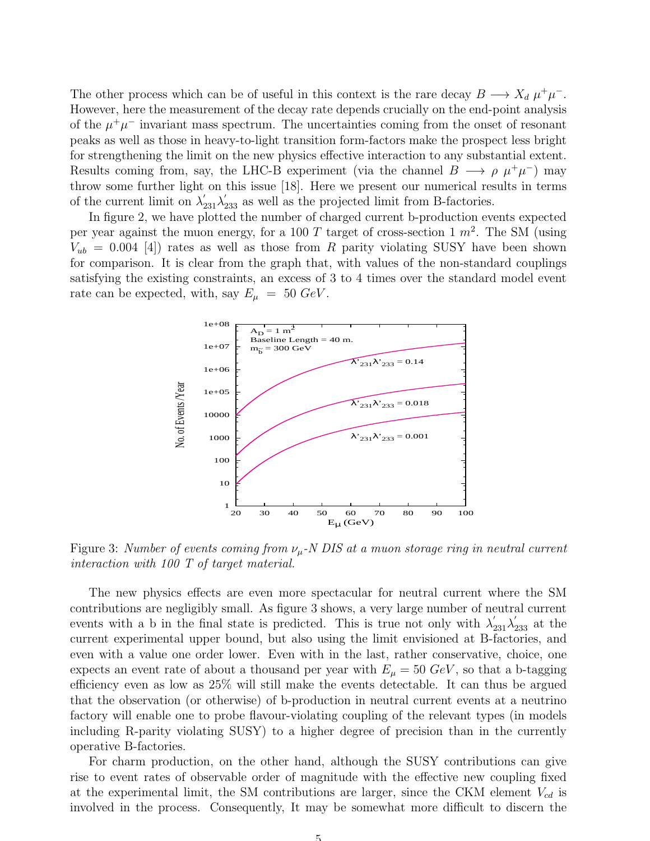The other process which can be of useful in this context is the rare decay  $B \longrightarrow X_d \mu^+ \mu^-$ . However, here the measurement of the decay rate depends crucially on the end-point analysis of the  $\mu^+\mu^-$  invariant mass spectrum. The uncertainties coming from the onset of resonant peaks as well as those in heavy-to-light transition form-factors make the prospect less bright for strengthening the limit on the new physics effective interaction to any substantial extent. Results coming from, say, the LHC-B experiment (via the channel  $B \longrightarrow \rho \mu^+\mu^-$ ) may throw some further light on this issue [18]. Here we present our numerical results in terms of the current limit on  $\lambda'_{231}\lambda'_{233}$  as well as the projected limit from B-factories.

In figure 2, we have plotted the number of charged current b-production events expected per year against the muon energy, for a 100 T target of cross-section 1  $m^2$ . The SM (using  $V_{ub} = 0.004$  [4]) rates as well as those from R parity violating SUSY have been shown for comparison. It is clear from the graph that, with values of the non-standard couplings satisfying the existing constraints, an excess of 3 to 4 times over the standard model event rate can be expected, with, say  $E_{\mu} = 50 \text{ GeV}$ .



Figure 3: *Number of events coming from* νµ*-N DIS at a muon storage ring in neutral current interaction with 100 T of target material.*

The new physics effects are even more spectacular for neutral current where the SM contributions are negligibly small. As figure 3 shows, a very large number of neutral current events with a b in the final state is predicted. This is true not only with  $\lambda'_{231}\lambda'_{233}$  at the current experimental upper bound, but also using the limit envisioned at B-factories, and even with a value one order lower. Even with in the last, rather conservative, choice, one expects an event rate of about a thousand per year with  $E_{\mu} = 50 \text{ GeV}$ , so that a b-tagging efficiency even as low as 25% will still make the events detectable. It can thus be argued that the observation (or otherwise) of b-production in neutral current events at a neutrino factory will enable one to probe flavour-violating coupling of the relevant types (in models including R-parity violating SUSY) to a higher degree of precision than in the currently operative B-factories.

For charm production, on the other hand, although the SUSY contributions can give rise to event rates of observable order of magnitude with the effective new coupling fixed at the experimental limit, the SM contributions are larger, since the CKM element  $V_{cd}$  is involved in the process. Consequently, It may be somewhat more difficult to discern the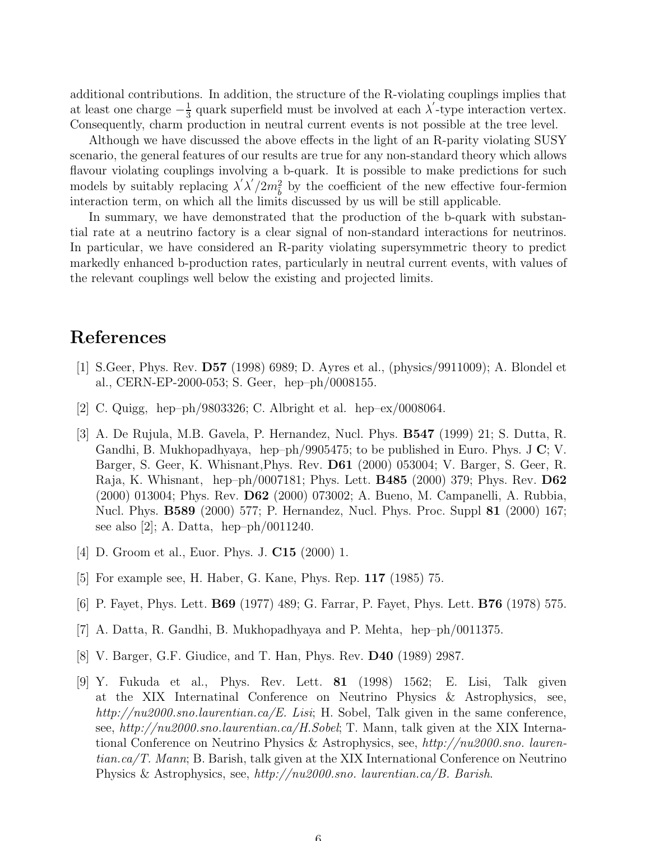additional contributions. In addition, the structure of the R-violating couplings implies that at least one charge  $-\frac{1}{3}$  $\frac{1}{3}$  quark superfield must be involved at each  $\lambda'$ -type interaction vertex. Consequently, charm production in neutral current events is not possible at the tree level.

Although we have discussed the above effects in the light of an R-parity violating SUSY scenario, the general features of our results are true for any non-standard theory which allows flavour violating couplings involving a b-quark. It is possible to make predictions for such models by suitably replacing  $\lambda' \lambda'/2m_b^2$  by the coefficient of the new effective four-fermion interaction term, on which all the limits discussed by us will be still applicable.

In summary, we have demonstrated that the production of the b-quark with substantial rate at a neutrino factory is a clear signal of non-standard interactions for neutrinos. In particular, we have considered an R-parity violating supersymmetric theory to predict markedly enhanced b-production rates, particularly in neutral current events, with values of the relevant couplings well below the existing and projected limits.

## References

- [1] S.Geer, Phys. Rev. D57 (1998) 6989; D. Ayres et al., (physics/9911009); A. Blondel et al., CERN-EP-2000-053; S. Geer, hep–ph/0008155.
- [2] C. Quigg, hep–ph/9803326; C. Albright et al. hep–ex/0008064.
- [3] A. De Rujula, M.B. Gavela, P. Hernandez, Nucl. Phys. B547 (1999) 21; S. Dutta, R. Gandhi, B. Mukhopadhyaya, hep–ph/9905475; to be published in Euro. Phys. J  $\mathbf{C}$ ; V. Barger, S. Geer, K. Whisnant,Phys. Rev. D61 (2000) 053004; V. Barger, S. Geer, R. Raja, K. Whisnant, hep–ph/0007181; Phys. Lett. B485 (2000) 379; Phys. Rev. D62 (2000) 013004; Phys. Rev. D62 (2000) 073002; A. Bueno, M. Campanelli, A. Rubbia, Nucl. Phys. **B589** (2000) 577; P. Hernandez, Nucl. Phys. Proc. Suppl **81** (2000) 167; see also [2]; A. Datta, hep–ph/0011240.
- [4] D. Groom et al., Euor. Phys. J. C15 (2000) 1.
- [5] For example see, H. Haber, G. Kane, Phys. Rep. 117 (1985) 75.
- [6] P. Fayet, Phys. Lett. B69 (1977) 489; G. Farrar, P. Fayet, Phys. Lett. B76 (1978) 575.
- [7] A. Datta, R. Gandhi, B. Mukhopadhyaya and P. Mehta, hep–ph/0011375.
- [8] V. Barger, G.F. Giudice, and T. Han, Phys. Rev. D40 (1989) 2987.
- [9] Y. Fukuda et al., Phys. Rev. Lett. 81 (1998) 1562; E. Lisi, Talk given at the XIX Internatinal Conference on Neutrino Physics & Astrophysics, see, *http://nu2000.sno.laurentian.ca/E. Lisi*; H. Sobel, Talk given in the same conference, see, *http://nu2000.sno.laurentian.ca/H.Sobel*; T. Mann, talk given at the XIX International Conference on Neutrino Physics & Astrophysics, see, *http://nu2000.sno. laurentian.ca/T. Mann*; B. Barish, talk given at the XIX International Conference on Neutrino Physics & Astrophysics, see, *http://nu2000.sno. laurentian.ca/B. Barish*.